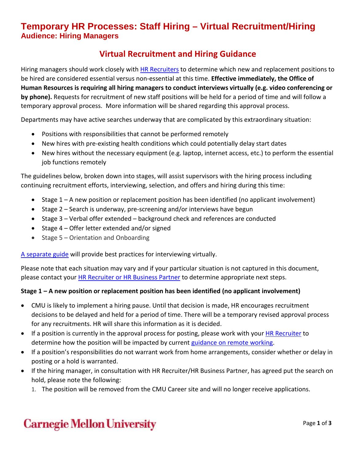## **Temporary HR Processes: Staff Hiring – Virtual Recruitment/Hiring Audience: Hiring Managers**

## **Virtual Recruitment and Hiring Guidance**

Hiring managers should work closely with [HR Recruiters](https://www.cmu.edu/hr/resources/hr-partners/hr-services/hr-managers.html) to determine which new and replacement positions to be hired are considered essential versus non-essential at this time. **Effective immediately, the Office of Human Resources is requiring all hiring managers to conduct interviews virtually (e.g. video conferencing or by phone).** Requests for recruitment of new staff positions will be held for a period of time and will follow a temporary approval process. More information will be shared regarding this approval process.

Departments may have active searches underway that are complicated by this extraordinary situation:

- Positions with responsibilities that cannot be performed remotely
- New hires with pre-existing health conditions which could potentially delay start dates
- New hires without the necessary equipment (e.g. laptop, internet access, etc.) to perform the essential job functions remotely

The guidelines below, broken down into stages, will assist supervisors with the hiring process including continuing recruitment efforts, interviewing, selection, and offers and hiring during this time:

- Stage 1 A new position or replacement position has been identified (no applicant involvement)
- Stage 2 Search is underway, pre-screening and/or interviews have begun
- Stage 3 Verbal offer extended background check and references are conducted
- Stage 4 Offer letter extended and/or signed
- Stage 5 Orientation and Onboarding

[A separate guide](https://www.cmu.edu/hr/assets/coronavirus/virtual-interviewing-guidance.pdf) will provide best practices for interviewing virtually.

Please note that each situation may vary and if your particular situation is not captured in this document, please contact your **HR Recruiter or HR Business Partner** to determine appropriate next steps.

#### **Stage 1 – A new position or replacement position has been identified (no applicant involvement)**

- CMU is likely to implement a hiring pause. Until that decision is made, HR encourages recruitment decisions to be delayed and held for a period of time. There will be a temporary revised approval process for any recruitments. HR will share this information as it is decided.
- If a position is currently in the approval process for posting, please work with your **HR Recruiter** to determine how the position will be impacted by current [guidance on remote working.](https://www.cmu.edu/computing/support/remote.html)
- If a position's responsibilities do not warrant work from home arrangements, consider whether or delay in posting or a hold is warranted.
- If the hiring manager, in consultation with HR Recruiter/HR Business Partner, has agreed put the search on hold, please note the following:
	- 1. The position will be removed from the CMU Career site and will no longer receive applications.

## **Carnegie Mellon University**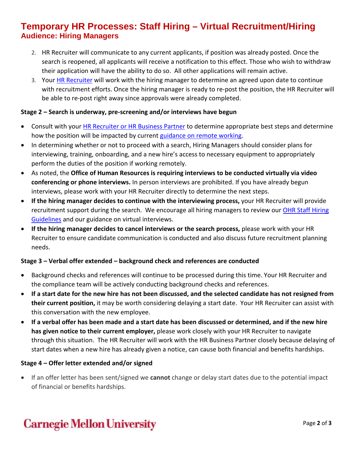### **Temporary HR Processes: Staff Hiring – Virtual Recruitment/Hiring Audience: Hiring Managers**

- 2. HR Recruiter will communicate to any current applicants, if position was already posted. Once the search is reopened, all applicants will receive a notification to this effect. Those who wish to withdraw their application will have the ability to do so. All other applications will remain active.
- 3. Your [HR Recruiter](https://www.cmu.edu/hr/resources/hr-partners/hr-services/hr-managers.html) will work with the hiring manager to determine an agreed upon date to continue with recruitment efforts. Once the hiring manager is ready to re-post the position, the HR Recruiter will be able to re-post right away since approvals were already completed.

#### **Stage 2 – Search is underway, pre-screening and/or interviews have begun**

- Consult with your [HR Recruiter or HR](https://www.cmu.edu/hr/resources/hr-partners/hr-services/hr-managers.html) Business Partner to determine appropriate best steps and determine how the position will be impacted by current [guidance on remote working.](https://www.cmu.edu/computing/support/remote.html)
- In determining whether or not to proceed with a search, Hiring Managers should consider plans for interviewing, training, onboarding, and a new hire's access to necessary equipment to appropriately perform the duties of the position if working remotely.
- As noted, the **Office of Human Resources is requiring interviews to be conducted virtually via video conferencing or phone interviews.** In person interviews are prohibited. If you have already begun interviews, please work with your HR Recruiter directly to determine the next steps.
- **If the hiring manager decides to continue with the interviewing process,** your HR Recruiter will provide recruitment support during the search. We encourage all hiring managers to review our OHR Staff Hiring [Guidelines](https://www.cmu.edu/hr/assets/recruiting/restrict/guidelines-hiring-staff.pdf) and our guidance on virtual interviews.
- **If the hiring manager decides to cancel interviews or the search process,** please work with your HR Recruiter to ensure candidate communication is conducted and also discuss future recruitment planning needs.

#### **Stage 3 – Verbal offer extended – background check and references are conducted**

- Background checks and references will continue to be processed during this time. Your HR Recruiter and the compliance team will be actively conducting background checks and references.
- **If a start date for the new hire has not been discussed, and the selected candidate has not resigned from their current position,** it may be worth considering delaying a start date. Your HR Recruiter can assist with this conversation with the new employee.
- **If a verbal offer has been made and a start date has been discussed or determined, and if the new hire has given notice to their current employer,** please work closely with your HR Recruiter to navigate through this situation. The HR Recruiter will work with the HR Business Partner closely because delaying of start dates when a new hire has already given a notice, can cause both financial and benefits hardships.

#### **Stage 4 – Offer letter extended and/or signed**

• If an offer letter has been sent/signed we **cannot** change or delay start dates due to the potential impact of financial or benefits hardships.

# **Carnegie Mellon University**